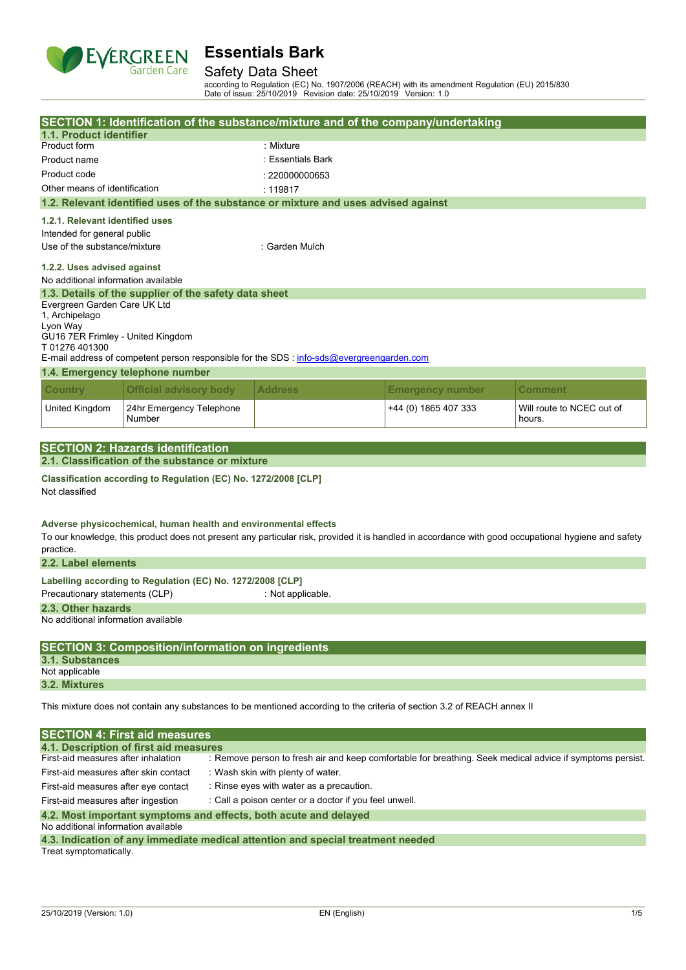

### Safety Data Sheet

according to Regulation (EC) No. 1907/2006 (REACH) with its amendment Regulation (EU) 2015/830 Date of issue: 25/10/2019 Revision date: 25/10/2019 Version: 1.0

|                                                                                                                         |                                                                                | SECTION 1: Identification of the substance/mixture and of the company/undertaking                                                                   |                         |                                                                                                           |  |  |  |
|-------------------------------------------------------------------------------------------------------------------------|--------------------------------------------------------------------------------|-----------------------------------------------------------------------------------------------------------------------------------------------------|-------------------------|-----------------------------------------------------------------------------------------------------------|--|--|--|
| 1.1. Product identifier                                                                                                 |                                                                                |                                                                                                                                                     |                         |                                                                                                           |  |  |  |
| Product form                                                                                                            |                                                                                | : Mixture                                                                                                                                           |                         |                                                                                                           |  |  |  |
| Product name                                                                                                            |                                                                                | : Essentials Bark                                                                                                                                   |                         |                                                                                                           |  |  |  |
| Product code                                                                                                            |                                                                                | : 220000000653                                                                                                                                      |                         |                                                                                                           |  |  |  |
| Other means of identification                                                                                           |                                                                                | : 119817                                                                                                                                            |                         |                                                                                                           |  |  |  |
|                                                                                                                         |                                                                                | 1.2. Relevant identified uses of the substance or mixture and uses advised against                                                                  |                         |                                                                                                           |  |  |  |
| 1.2.1. Relevant identified uses                                                                                         |                                                                                |                                                                                                                                                     |                         |                                                                                                           |  |  |  |
| Intended for general public                                                                                             |                                                                                |                                                                                                                                                     |                         |                                                                                                           |  |  |  |
| Use of the substance/mixture                                                                                            |                                                                                | : Garden Mulch                                                                                                                                      |                         |                                                                                                           |  |  |  |
|                                                                                                                         | 1.2.2. Uses advised against<br>No additional information available             |                                                                                                                                                     |                         |                                                                                                           |  |  |  |
|                                                                                                                         | 1.3. Details of the supplier of the safety data sheet                          |                                                                                                                                                     |                         |                                                                                                           |  |  |  |
| Evergreen Garden Care UK Ltd                                                                                            |                                                                                |                                                                                                                                                     |                         |                                                                                                           |  |  |  |
| 1, Archipelago<br>Lyon Way                                                                                              |                                                                                |                                                                                                                                                     |                         |                                                                                                           |  |  |  |
| GU16 7ER Frimley - United Kingdom                                                                                       |                                                                                |                                                                                                                                                     |                         |                                                                                                           |  |  |  |
| T01276401300                                                                                                            |                                                                                |                                                                                                                                                     |                         |                                                                                                           |  |  |  |
|                                                                                                                         |                                                                                | E-mail address of competent person responsible for the SDS : info-sds@evergreengarden.com                                                           |                         |                                                                                                           |  |  |  |
|                                                                                                                         | 1.4. Emergency telephone number                                                |                                                                                                                                                     |                         |                                                                                                           |  |  |  |
| <b>Country</b>                                                                                                          | <b>Official advisory body</b>                                                  | <b>Address</b>                                                                                                                                      | <b>Emergency number</b> | Comment                                                                                                   |  |  |  |
| United Kingdom                                                                                                          | 24hr Emergency Telephone<br>Number                                             |                                                                                                                                                     | +44 (0) 1865 407 333    | Will route to NCEC out of<br>hours.                                                                       |  |  |  |
|                                                                                                                         |                                                                                |                                                                                                                                                     |                         |                                                                                                           |  |  |  |
|                                                                                                                         | <b>SECTION 2: Hazards identification</b>                                       |                                                                                                                                                     |                         |                                                                                                           |  |  |  |
|                                                                                                                         | 2.1. Classification of the substance or mixture                                |                                                                                                                                                     |                         |                                                                                                           |  |  |  |
| Not classified                                                                                                          | Classification according to Regulation (EC) No. 1272/2008 [CLP]                |                                                                                                                                                     |                         |                                                                                                           |  |  |  |
| practice.                                                                                                               | Adverse physicochemical, human health and environmental effects                | To our knowledge, this product does not present any particular risk, provided it is handled in accordance with good occupational hygiene and safety |                         |                                                                                                           |  |  |  |
| 2.2. Label elements                                                                                                     |                                                                                |                                                                                                                                                     |                         |                                                                                                           |  |  |  |
|                                                                                                                         | Labelling according to Regulation (EC) No. 1272/2008 [CLP]                     |                                                                                                                                                     |                         |                                                                                                           |  |  |  |
| Precautionary statements (CLP)                                                                                          |                                                                                | : Not applicable.                                                                                                                                   |                         |                                                                                                           |  |  |  |
| 2.3. Other hazards                                                                                                      |                                                                                |                                                                                                                                                     |                         |                                                                                                           |  |  |  |
| No additional information available                                                                                     |                                                                                |                                                                                                                                                     |                         |                                                                                                           |  |  |  |
|                                                                                                                         | <b>SECTION 3: Composition/information on ingredients</b>                       |                                                                                                                                                     |                         |                                                                                                           |  |  |  |
| 3.1. Substances                                                                                                         |                                                                                |                                                                                                                                                     |                         |                                                                                                           |  |  |  |
| Not applicable                                                                                                          |                                                                                |                                                                                                                                                     |                         |                                                                                                           |  |  |  |
| 3.2. Mixtures                                                                                                           |                                                                                |                                                                                                                                                     |                         |                                                                                                           |  |  |  |
| This mixture does not contain any substances to be mentioned according to the criteria of section 3.2 of REACH annex II |                                                                                |                                                                                                                                                     |                         |                                                                                                           |  |  |  |
|                                                                                                                         |                                                                                |                                                                                                                                                     |                         |                                                                                                           |  |  |  |
|                                                                                                                         |                                                                                |                                                                                                                                                     |                         |                                                                                                           |  |  |  |
|                                                                                                                         | <b>SECTION 4: First aid measures</b><br>4.1. Description of first aid measures |                                                                                                                                                     |                         |                                                                                                           |  |  |  |
| First-aid measures after inhalation                                                                                     |                                                                                |                                                                                                                                                     |                         | : Remove person to fresh air and keep comfortable for breathing. Seek medical advice if symptoms persist. |  |  |  |
| First-aid measures after skin contact                                                                                   |                                                                                | : Wash skin with plenty of water.                                                                                                                   |                         |                                                                                                           |  |  |  |
| First-aid measures after eye contact                                                                                    |                                                                                | : Rinse eyes with water as a precaution.                                                                                                            |                         |                                                                                                           |  |  |  |
| First-aid measures after ingestion                                                                                      |                                                                                | : Call a poison center or a doctor if you feel unwell.                                                                                              |                         |                                                                                                           |  |  |  |
|                                                                                                                         |                                                                                |                                                                                                                                                     |                         |                                                                                                           |  |  |  |
| No additional information available                                                                                     | 4.2. Most important symptoms and effects, both acute and delayed               |                                                                                                                                                     |                         |                                                                                                           |  |  |  |

**4.3. Indication of any immediate medical attention and special treatment needed** Treat symptomatically.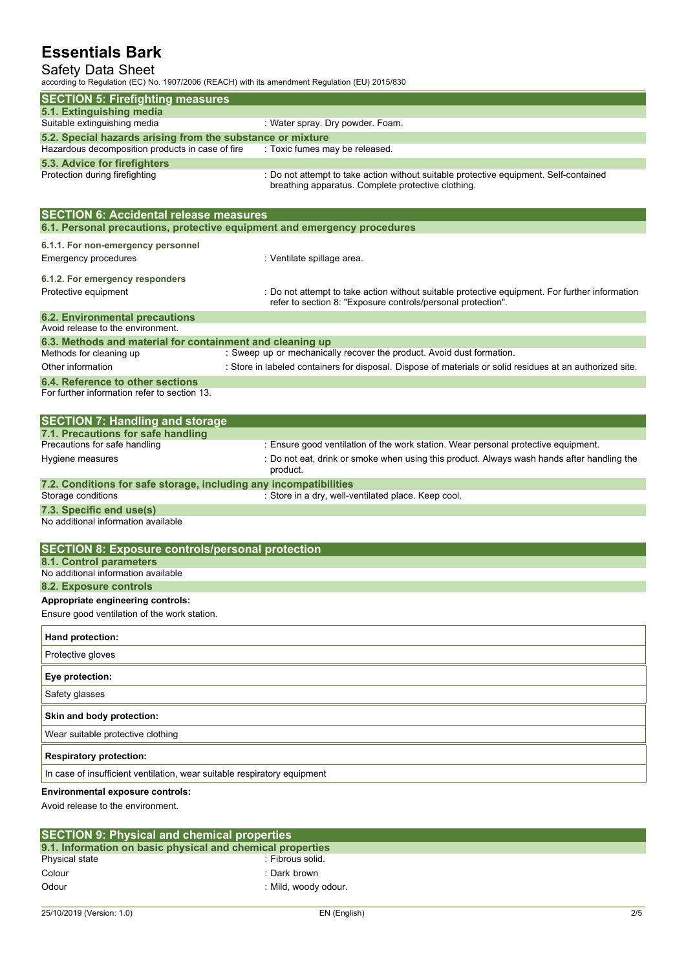### Safety Data Sheet

according to Regulation (EC) No. 1907/2006 (REACH) with its amendment Regulation (EU) 2015/830

| according to regulation (EO) NO. T307/2000 (NEAOH) With its americanent regulation (EO) 2013/030               |                                                                                                                                             |
|----------------------------------------------------------------------------------------------------------------|---------------------------------------------------------------------------------------------------------------------------------------------|
| <b>SECTION 5: Firefighting measures</b>                                                                        |                                                                                                                                             |
| 5.1. Extinguishing media                                                                                       |                                                                                                                                             |
| Suitable extinguishing media                                                                                   | : Water spray. Dry powder. Foam.                                                                                                            |
| 5.2. Special hazards arising from the substance or mixture<br>Hazardous decomposition products in case of fire | : Toxic fumes may be released.                                                                                                              |
| 5.3. Advice for firefighters                                                                                   |                                                                                                                                             |
| Protection during firefighting                                                                                 | : Do not attempt to take action without suitable protective equipment. Self-contained<br>breathing apparatus. Complete protective clothing. |
| <b>SECTION 6: Accidental release measures</b>                                                                  |                                                                                                                                             |
| 6.1. Personal precautions, protective equipment and emergency procedures                                       |                                                                                                                                             |
| 6.1.1. For non-emergency personnel                                                                             |                                                                                                                                             |
| <b>Emergency procedures</b>                                                                                    | : Ventilate spillage area.                                                                                                                  |
| 6.1.2. For emergency responders                                                                                |                                                                                                                                             |
| Protective equipment                                                                                           | : Do not attempt to take action without suitable protective equipment. For further information                                              |
|                                                                                                                | refer to section 8: "Exposure controls/personal protection".                                                                                |
| <b>6.2. Environmental precautions</b>                                                                          |                                                                                                                                             |
| Avoid release to the environment.                                                                              |                                                                                                                                             |
| 6.3. Methods and material for containment and cleaning up<br>Methods for cleaning up                           | : Sweep up or mechanically recover the product. Avoid dust formation.                                                                       |
| Other information                                                                                              | : Store in labeled containers for disposal. Dispose of materials or solid residues at an authorized site.                                   |
| 6.4. Reference to other sections                                                                               |                                                                                                                                             |
| For further information refer to section 13.                                                                   |                                                                                                                                             |
|                                                                                                                |                                                                                                                                             |
| <b>SECTION 7: Handling and storage</b>                                                                         |                                                                                                                                             |
| 7.1. Precautions for safe handling                                                                             |                                                                                                                                             |
| Precautions for safe handling                                                                                  | : Ensure good ventilation of the work station. Wear personal protective equipment.                                                          |
| Hygiene measures                                                                                               | : Do not eat, drink or smoke when using this product. Always wash hands after handling the<br>product.                                      |
| 7.2. Conditions for safe storage, including any incompatibilities                                              |                                                                                                                                             |
| Storage conditions                                                                                             | : Store in a dry, well-ventilated place. Keep cool.                                                                                         |
| 7.3. Specific end use(s)<br>No additional information available                                                |                                                                                                                                             |
|                                                                                                                |                                                                                                                                             |
| <b>SECTION 8: Exposure controls/personal protection</b>                                                        |                                                                                                                                             |
| 8.1. Control parameters                                                                                        |                                                                                                                                             |
| No additional information available                                                                            |                                                                                                                                             |
| 8.2. Exposure controls                                                                                         |                                                                                                                                             |
| Appropriate engineering controls:                                                                              |                                                                                                                                             |
| Ensure good ventilation of the work station.                                                                   |                                                                                                                                             |
| Hand protection:                                                                                               |                                                                                                                                             |
| Protective gloves                                                                                              |                                                                                                                                             |
| Eye protection:                                                                                                |                                                                                                                                             |
| Safety glasses                                                                                                 |                                                                                                                                             |
| Skin and body protection:                                                                                      |                                                                                                                                             |
| Wear suitable protective clothing                                                                              |                                                                                                                                             |
| <b>Respiratory protection:</b>                                                                                 |                                                                                                                                             |
| In case of insufficient ventilation, wear suitable respiratory equipment                                       |                                                                                                                                             |
| <b>Environmental exposure controls:</b><br>Avoid release to the environment.                                   |                                                                                                                                             |
|                                                                                                                |                                                                                                                                             |
|                                                                                                                |                                                                                                                                             |

| <b>SECTION 9: Physical and chemical properties</b>         |                      |  |  |  |  |
|------------------------------------------------------------|----------------------|--|--|--|--|
| 9.1. Information on basic physical and chemical properties |                      |  |  |  |  |
| Physical state                                             | : Fibrous solid.     |  |  |  |  |
| Colour                                                     | : Dark brown         |  |  |  |  |
| Odour                                                      | : Mild. woody odour. |  |  |  |  |
|                                                            |                      |  |  |  |  |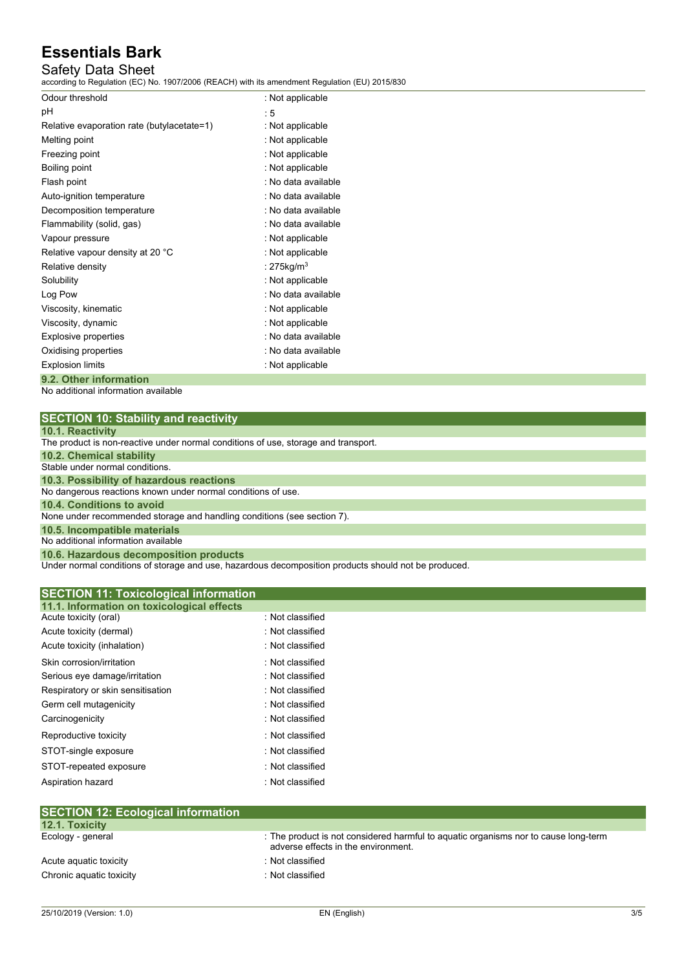## Safety Data Sheet

according to Regulation (EC) No. 1907/2006 (REACH) with its amendment Regulation (EU) 2015/830

| Odour threshold                            | : Not applicable       |
|--------------------------------------------|------------------------|
| рH                                         | : 5                    |
| Relative evaporation rate (butylacetate=1) | : Not applicable       |
| Melting point                              | : Not applicable       |
| Freezing point                             | : Not applicable       |
| Boiling point                              | : Not applicable       |
| Flash point                                | : No data available    |
| Auto-ignition temperature                  | : No data available    |
| Decomposition temperature                  | : No data available    |
| Flammability (solid, gas)                  | : No data available    |
| Vapour pressure                            | : Not applicable       |
| Relative vapour density at 20 °C           | : Not applicable       |
| Relative density                           | : 275kg/m <sup>3</sup> |
| Solubility                                 | : Not applicable       |
| Log Pow                                    | : No data available    |
| Viscosity, kinematic                       | : Not applicable       |
| Viscosity, dynamic                         | : Not applicable       |
| <b>Explosive properties</b>                | : No data available    |
| Oxidising properties                       | : No data available    |
| <b>Explosion limits</b>                    | : Not applicable       |
| 9.2. Other information                     |                        |

No additional information available

|  |  | <b>10.1. Reactivity</b> |  |  |  |  |  |
|--|--|-------------------------|--|--|--|--|--|
|  |  |                         |  |  |  |  |  |

| <b>IV.I. REACHVILY</b>                                                             |
|------------------------------------------------------------------------------------|
| The product is non-reactive under normal conditions of use, storage and transport. |
| 10.2. Chemical stability                                                           |
| Stable under normal conditions.                                                    |
| 10.3. Possibility of hazardous reactions                                           |
| No dangerous reactions known under normal conditions of use.                       |
| 10.4. Conditions to avoid                                                          |
| None under recommended storage and handling conditions (see section 7).            |
| 10.5. Incompatible materials                                                       |
| No additional information available                                                |
| 10.6. Hazardous decomposition products                                             |

Under normal conditions of storage and use, hazardous decomposition products should not be produced.

| <b>SECTION 11: Toxicological information</b><br>11.1. Information on toxicological effects |                  |  |
|--------------------------------------------------------------------------------------------|------------------|--|
| Acute toxicity (oral)                                                                      | : Not classified |  |
| Acute toxicity (dermal)                                                                    | : Not classified |  |
| Acute toxicity (inhalation)                                                                | : Not classified |  |
| Skin corrosion/irritation                                                                  | : Not classified |  |
| Serious eye damage/irritation                                                              | : Not classified |  |
| Respiratory or skin sensitisation                                                          | : Not classified |  |
| Germ cell mutagenicity                                                                     | : Not classified |  |
| Carcinogenicity                                                                            | : Not classified |  |
| Reproductive toxicity                                                                      | : Not classified |  |
| STOT-single exposure                                                                       | : Not classified |  |
| STOT-repeated exposure                                                                     | : Not classified |  |
| Aspiration hazard                                                                          | : Not classified |  |

| <b>SECTION 12. ECOLOGICAL INTOITMATION</b> |                                                                                                                            |
|--------------------------------------------|----------------------------------------------------------------------------------------------------------------------------|
| <b>12.1. Toxicity</b>                      |                                                                                                                            |
| Ecology - general                          | : The product is not considered harmful to aquatic organisms nor to cause long-term<br>adverse effects in the environment. |
| Acute aguatic toxicity                     | : Not classified                                                                                                           |
| Chronic aquatic toxicity                   | : Not classified                                                                                                           |
|                                            |                                                                                                                            |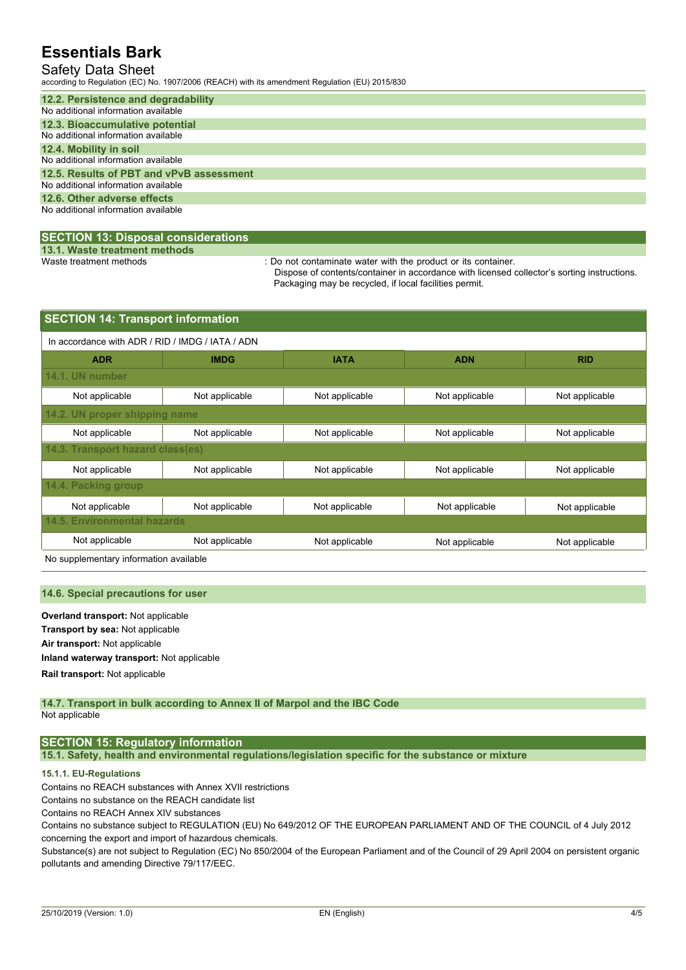### Safety Data Sheet

according to Regulation (EC) No. 1907/2006 (REACH) with its amendment Regulation (EU) 2015/830

| 12.2. Persistence and degradability      |
|------------------------------------------|
| No additional information available      |
| 12.3. Bioaccumulative potential          |
| No additional information available      |
| 12.4. Mobility in soil                   |
| No additional information available      |
| 12.5. Results of PBT and vPvB assessment |
| No additional information available      |
| 12.6. Other adverse effects              |
| No additional information available      |
|                                          |

#### **SECTION 13: Disposal considerations**

**13.1. Waste treatment methods**

: Do not contaminate water with the product or its container.

Dispose of contents/container in accordance with licensed collector's sorting instructions. Packaging may be recycled, if local facilities permit.

| <b>SECTION 14: Transport information</b>                                               |                               |                |                |                |  |  |  |  |  |
|----------------------------------------------------------------------------------------|-------------------------------|----------------|----------------|----------------|--|--|--|--|--|
| In accordance with ADR / RID / IMDG / IATA / ADN                                       |                               |                |                |                |  |  |  |  |  |
| <b>ADR</b>                                                                             | <b>IMDG</b>                   | <b>IATA</b>    | <b>ADN</b>     | <b>RID</b>     |  |  |  |  |  |
| 14.1. UN number                                                                        |                               |                |                |                |  |  |  |  |  |
| Not applicable                                                                         | Not applicable                | Not applicable | Not applicable | Not applicable |  |  |  |  |  |
|                                                                                        | 14.2. UN proper shipping name |                |                |                |  |  |  |  |  |
| Not applicable                                                                         | Not applicable                | Not applicable | Not applicable | Not applicable |  |  |  |  |  |
| 14.3. Transport hazard class(es)                                                       |                               |                |                |                |  |  |  |  |  |
| Not applicable                                                                         | Not applicable                | Not applicable | Not applicable | Not applicable |  |  |  |  |  |
| 14.4. Packing group                                                                    |                               |                |                |                |  |  |  |  |  |
| Not applicable                                                                         | Not applicable                | Not applicable | Not applicable | Not applicable |  |  |  |  |  |
| 14.5. Environmental hazards                                                            |                               |                |                |                |  |  |  |  |  |
| Not applicable<br>Not applicable<br>Not applicable<br>Not applicable<br>Not applicable |                               |                |                |                |  |  |  |  |  |

No supplementary information available

#### **14.6. Special precautions for user**

**Overland transport:** Not applicable **Transport by sea:** Not applicable **Air transport:** Not applicable **Inland waterway transport:** Not applicable **Rail.transport:** Not applicable

#### **14.7. Transport in bulk according to Annex II of Marpol and the IBC Code** Not applicable

### **SECTION 15: Regulatory information**

**15.1. Safety, health and environmental regulations/legislation specific for the substance or mixture**

#### **15.1.1. EU-Regulations**

Contains no REACH substances with Annex XVII restrictions

Contains no substance on the REACH candidate list

Contains no REACH Annex XIV substances

Contains no substance subject to REGULATION (EU) No 649/2012 OF THE EUROPEAN PARLIAMENT AND OF THE COUNCIL of 4 July 2012 concerning the export and import of hazardous chemicals.

Substance(s) are not subject to Regulation (EC) No 850/2004 of the European Parliament and of the Council of 29 April 2004 on persistent organic pollutants and amending Directive 79/117/EEC.